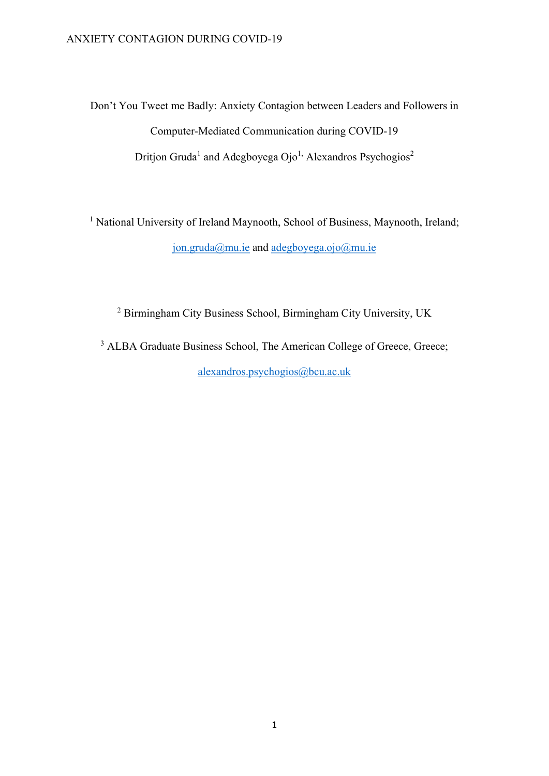Don't You Tweet me Badly: Anxiety Contagion between Leaders and Followers in Computer-Mediated Communication during COVID-19 Dritjon Gruda<sup>1</sup> and Adegboyega Ojo<sup>1,</sup> Alexandros Psychogios<sup>2</sup>

<sup>1</sup> National University of Ireland Maynooth, School of Business, Maynooth, Ireland; jon.gruda@mu.ie and adegboyega.ojo@mu.ie

<sup>2</sup> Birmingham City Business School, Birmingham City University, UK

<sup>3</sup> ALBA Graduate Business School, The American College of Greece, Greece; alexandros.psychogios@bcu.ac.uk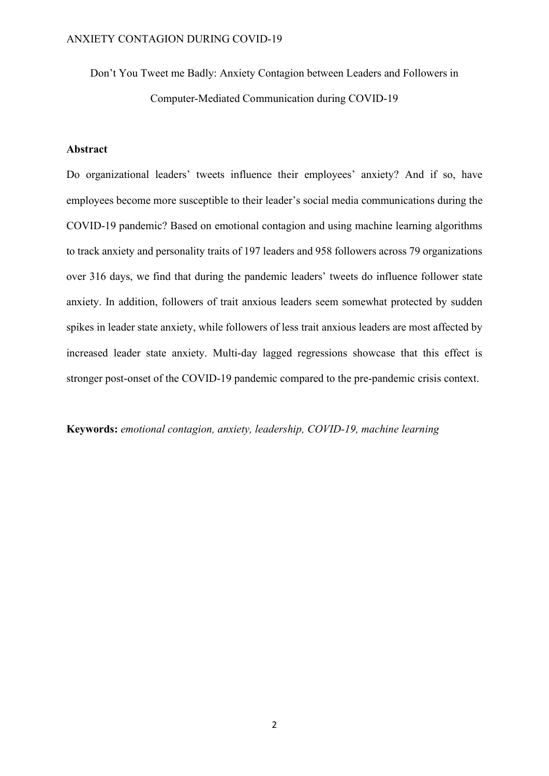Don't You Tweet me Badly: Anxiety Contagion between Leaders and Followers in Computer-Mediated Communication during COVID-19

# Abstract

Do organizational leaders' tweets influence their employees' anxiety? And if so, have employees become more susceptible to their leader's social media communications during the COVID-19 pandemic? Based on emotional contagion and using machine learning algorithms to track anxiety and personality traits of 197 leaders and 958 followers across 79 organizations over 316 days, we find that during the pandemic leaders' tweets do influence follower state anxiety. In addition, followers of trait anxious leaders seem somewhat protected by sudden spikes in leader state anxiety, while followers of less trait anxious leaders are most affected by increased leader state anxiety. Multi-day lagged regressions showcase that this effect is stronger post-onset of the COVID-19 pandemic compared to the pre-pandemic crisis context.

Keywords: emotional contagion, anxiety, leadership, COVID-19, machine learning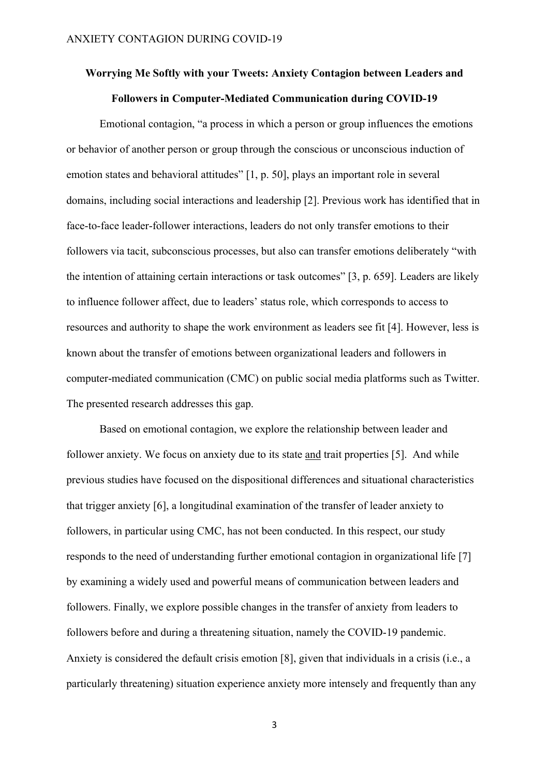# Worrying Me Softly with your Tweets: Anxiety Contagion between Leaders and Followers in Computer-Mediated Communication during COVID-19

Emotional contagion, "a process in which a person or group influences the emotions or behavior of another person or group through the conscious or unconscious induction of emotion states and behavioral attitudes" [1, p. 50], plays an important role in several domains, including social interactions and leadership [2]. Previous work has identified that in face-to-face leader-follower interactions, leaders do not only transfer emotions to their followers via tacit, subconscious processes, but also can transfer emotions deliberately "with the intention of attaining certain interactions or task outcomes" [3, p. 659]. Leaders are likely to influence follower affect, due to leaders' status role, which corresponds to access to resources and authority to shape the work environment as leaders see fit [4]. However, less is known about the transfer of emotions between organizational leaders and followers in computer-mediated communication (CMC) on public social media platforms such as Twitter. The presented research addresses this gap.

Based on emotional contagion, we explore the relationship between leader and follower anxiety. We focus on anxiety due to its state and trait properties [5]. And while previous studies have focused on the dispositional differences and situational characteristics that trigger anxiety [6], a longitudinal examination of the transfer of leader anxiety to followers, in particular using CMC, has not been conducted. In this respect, our study responds to the need of understanding further emotional contagion in organizational life [7] by examining a widely used and powerful means of communication between leaders and followers. Finally, we explore possible changes in the transfer of anxiety from leaders to followers before and during a threatening situation, namely the COVID-19 pandemic. Anxiety is considered the default crisis emotion [8], given that individuals in a crisis (i.e., a particularly threatening) situation experience anxiety more intensely and frequently than any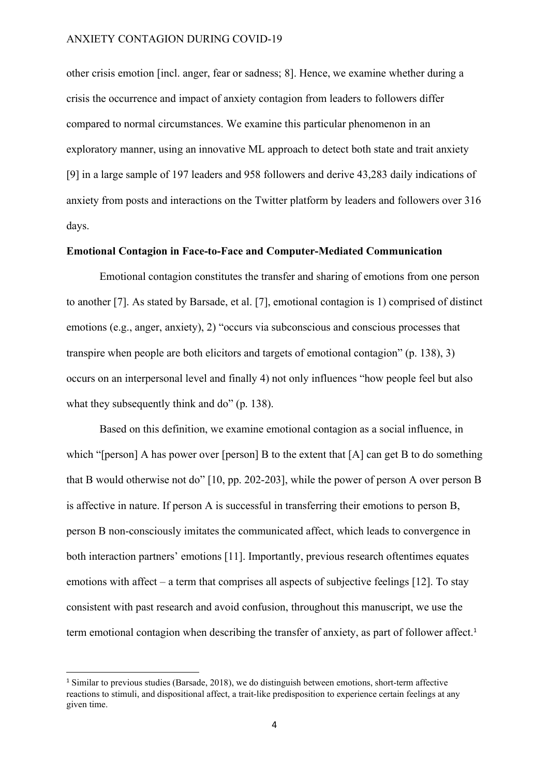other crisis emotion [incl. anger, fear or sadness; 8]. Hence, we examine whether during a crisis the occurrence and impact of anxiety contagion from leaders to followers differ compared to normal circumstances. We examine this particular phenomenon in an exploratory manner, using an innovative ML approach to detect both state and trait anxiety [9] in a large sample of 197 leaders and 958 followers and derive 43,283 daily indications of anxiety from posts and interactions on the Twitter platform by leaders and followers over 316 days.

## Emotional Contagion in Face-to-Face and Computer-Mediated Communication

Emotional contagion constitutes the transfer and sharing of emotions from one person to another [7]. As stated by Barsade, et al. [7], emotional contagion is 1) comprised of distinct emotions (e.g., anger, anxiety), 2) "occurs via subconscious and conscious processes that transpire when people are both elicitors and targets of emotional contagion" (p. 138), 3) occurs on an interpersonal level and finally 4) not only influences "how people feel but also what they subsequently think and do" (p. 138).

Based on this definition, we examine emotional contagion as a social influence, in which "[person] A has power over [person] B to the extent that [A] can get B to do something that B would otherwise not do" [10, pp. 202-203], while the power of person A over person B is affective in nature. If person A is successful in transferring their emotions to person B, person B non-consciously imitates the communicated affect, which leads to convergence in both interaction partners' emotions [11]. Importantly, previous research oftentimes equates emotions with affect – a term that comprises all aspects of subjective feelings [12]. To stay consistent with past research and avoid confusion, throughout this manuscript, we use the term emotional contagion when describing the transfer of anxiety, as part of follower affect.<sup>1</sup>

<sup>&</sup>lt;sup>1</sup> Similar to previous studies (Barsade, 2018), we do distinguish between emotions, short-term affective reactions to stimuli, and dispositional affect, a trait-like predisposition to experience certain feelings at any given time.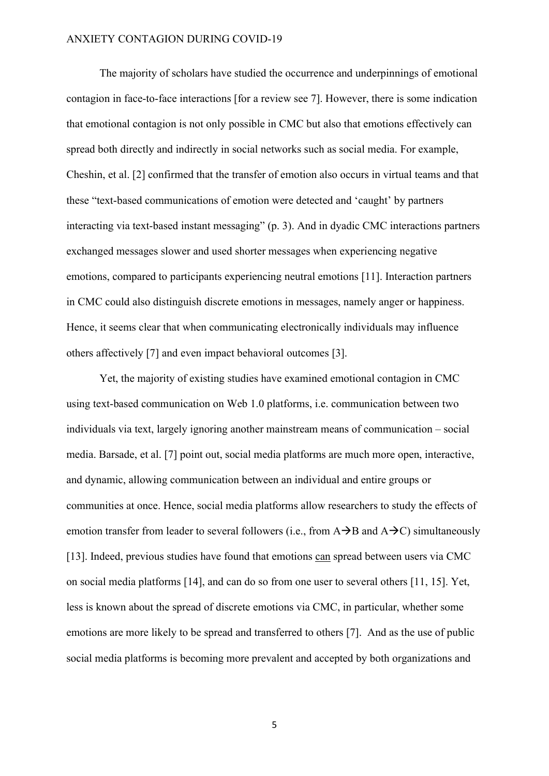The majority of scholars have studied the occurrence and underpinnings of emotional contagion in face-to-face interactions [for a review see 7]. However, there is some indication that emotional contagion is not only possible in CMC but also that emotions effectively can spread both directly and indirectly in social networks such as social media. For example, Cheshin, et al. [2] confirmed that the transfer of emotion also occurs in virtual teams and that these "text-based communications of emotion were detected and 'caught' by partners interacting via text-based instant messaging" (p. 3). And in dyadic CMC interactions partners exchanged messages slower and used shorter messages when experiencing negative emotions, compared to participants experiencing neutral emotions [11]. Interaction partners in CMC could also distinguish discrete emotions in messages, namely anger or happiness. Hence, it seems clear that when communicating electronically individuals may influence others affectively [7] and even impact behavioral outcomes [3].

Yet, the majority of existing studies have examined emotional contagion in CMC using text-based communication on Web 1.0 platforms, i.e. communication between two individuals via text, largely ignoring another mainstream means of communication – social media. Barsade, et al. [7] point out, social media platforms are much more open, interactive, and dynamic, allowing communication between an individual and entire groups or communities at once. Hence, social media platforms allow researchers to study the effects of emotion transfer from leader to several followers (i.e., from  $A\rightarrow B$  and  $A\rightarrow C$ ) simultaneously [13]. Indeed, previous studies have found that emotions can spread between users via CMC on social media platforms [14], and can do so from one user to several others [11, 15]. Yet, less is known about the spread of discrete emotions via CMC, in particular, whether some emotions are more likely to be spread and transferred to others [7]. And as the use of public social media platforms is becoming more prevalent and accepted by both organizations and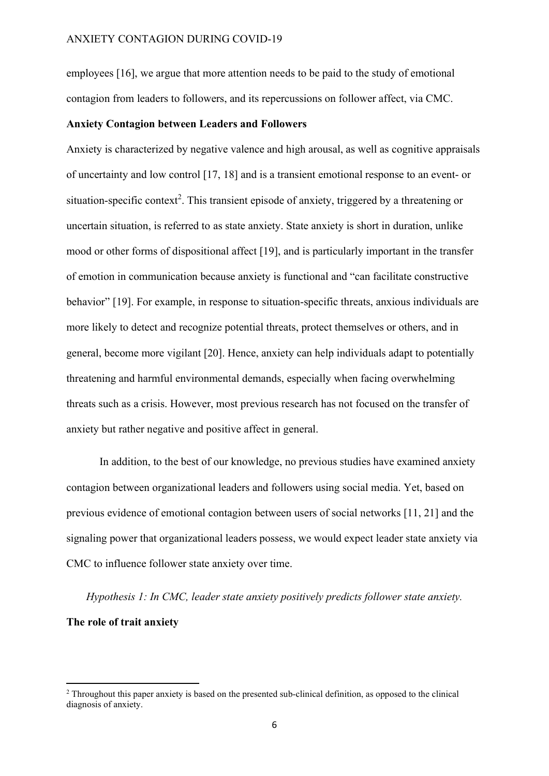employees [16], we argue that more attention needs to be paid to the study of emotional contagion from leaders to followers, and its repercussions on follower affect, via CMC.

#### Anxiety Contagion between Leaders and Followers

Anxiety is characterized by negative valence and high arousal, as well as cognitive appraisals of uncertainty and low control [17, 18] and is a transient emotional response to an event- or situation-specific context<sup>2</sup>. This transient episode of anxiety, triggered by a threatening or uncertain situation, is referred to as state anxiety. State anxiety is short in duration, unlike mood or other forms of dispositional affect [19], and is particularly important in the transfer of emotion in communication because anxiety is functional and "can facilitate constructive behavior" [19]. For example, in response to situation-specific threats, anxious individuals are more likely to detect and recognize potential threats, protect themselves or others, and in general, become more vigilant [20]. Hence, anxiety can help individuals adapt to potentially threatening and harmful environmental demands, especially when facing overwhelming threats such as a crisis. However, most previous research has not focused on the transfer of anxiety but rather negative and positive affect in general.

In addition, to the best of our knowledge, no previous studies have examined anxiety contagion between organizational leaders and followers using social media. Yet, based on previous evidence of emotional contagion between users of social networks [11, 21] and the signaling power that organizational leaders possess, we would expect leader state anxiety via CMC to influence follower state anxiety over time.

Hypothesis 1: In CMC, leader state anxiety positively predicts follower state anxiety. The role of trait anxiety

<sup>&</sup>lt;sup>2</sup> Throughout this paper anxiety is based on the presented sub-clinical definition, as opposed to the clinical diagnosis of anxiety.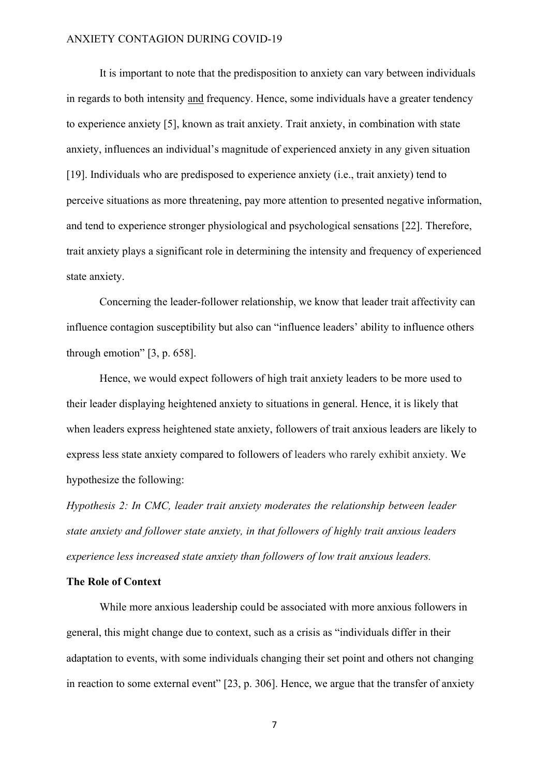It is important to note that the predisposition to anxiety can vary between individuals in regards to both intensity and frequency. Hence, some individuals have a greater tendency to experience anxiety [5], known as trait anxiety. Trait anxiety, in combination with state anxiety, influences an individual's magnitude of experienced anxiety in any given situation [19]. Individuals who are predisposed to experience anxiety (i.e., trait anxiety) tend to perceive situations as more threatening, pay more attention to presented negative information, and tend to experience stronger physiological and psychological sensations [22]. Therefore, trait anxiety plays a significant role in determining the intensity and frequency of experienced state anxiety.

Concerning the leader-follower relationship, we know that leader trait affectivity can influence contagion susceptibility but also can "influence leaders' ability to influence others through emotion" [3, p. 658].

Hence, we would expect followers of high trait anxiety leaders to be more used to their leader displaying heightened anxiety to situations in general. Hence, it is likely that when leaders express heightened state anxiety, followers of trait anxious leaders are likely to express less state anxiety compared to followers of leaders who rarely exhibit anxiety. We hypothesize the following:

Hypothesis 2: In CMC, leader trait anxiety moderates the relationship between leader state anxiety and follower state anxiety, in that followers of highly trait anxious leaders experience less increased state anxiety than followers of low trait anxious leaders.

# The Role of Context

While more anxious leadership could be associated with more anxious followers in general, this might change due to context, such as a crisis as "individuals differ in their adaptation to events, with some individuals changing their set point and others not changing in reaction to some external event" [23, p. 306]. Hence, we argue that the transfer of anxiety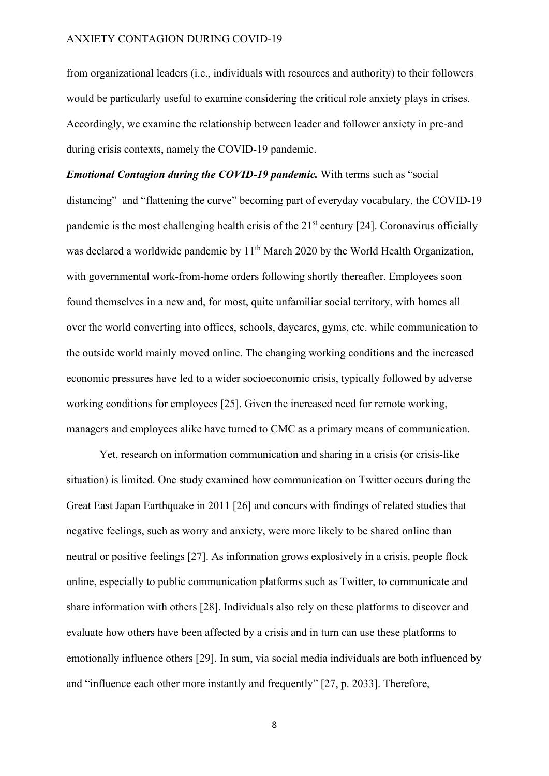from organizational leaders (i.e., individuals with resources and authority) to their followers would be particularly useful to examine considering the critical role anxiety plays in crises. Accordingly, we examine the relationship between leader and follower anxiety in pre-and during crisis contexts, namely the COVID-19 pandemic.

Emotional Contagion during the COVID-19 pandemic. With terms such as "social distancing" and "flattening the curve" becoming part of everyday vocabulary, the COVID-19 pandemic is the most challenging health crisis of the  $21<sup>st</sup>$  century [24]. Coronavirus officially was declared a worldwide pandemic by  $11<sup>th</sup>$  March 2020 by the World Health Organization, with governmental work-from-home orders following shortly thereafter. Employees soon found themselves in a new and, for most, quite unfamiliar social territory, with homes all over the world converting into offices, schools, daycares, gyms, etc. while communication to the outside world mainly moved online. The changing working conditions and the increased economic pressures have led to a wider socioeconomic crisis, typically followed by adverse working conditions for employees [25]. Given the increased need for remote working, managers and employees alike have turned to CMC as a primary means of communication.

Yet, research on information communication and sharing in a crisis (or crisis-like situation) is limited. One study examined how communication on Twitter occurs during the Great East Japan Earthquake in 2011 [26] and concurs with findings of related studies that negative feelings, such as worry and anxiety, were more likely to be shared online than neutral or positive feelings [27]. As information grows explosively in a crisis, people flock online, especially to public communication platforms such as Twitter, to communicate and share information with others [28]. Individuals also rely on these platforms to discover and evaluate how others have been affected by a crisis and in turn can use these platforms to emotionally influence others [29]. In sum, via social media individuals are both influenced by and "influence each other more instantly and frequently" [27, p. 2033]. Therefore,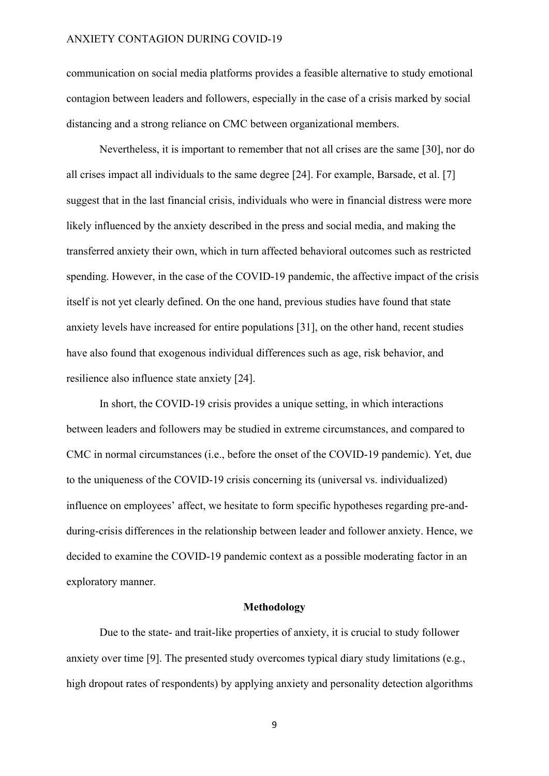communication on social media platforms provides a feasible alternative to study emotional contagion between leaders and followers, especially in the case of a crisis marked by social distancing and a strong reliance on CMC between organizational members.

Nevertheless, it is important to remember that not all crises are the same [30], nor do all crises impact all individuals to the same degree [24]. For example, Barsade, et al. [7] suggest that in the last financial crisis, individuals who were in financial distress were more likely influenced by the anxiety described in the press and social media, and making the transferred anxiety their own, which in turn affected behavioral outcomes such as restricted spending. However, in the case of the COVID-19 pandemic, the affective impact of the crisis itself is not yet clearly defined. On the one hand, previous studies have found that state anxiety levels have increased for entire populations [31], on the other hand, recent studies have also found that exogenous individual differences such as age, risk behavior, and resilience also influence state anxiety [24].

In short, the COVID-19 crisis provides a unique setting, in which interactions between leaders and followers may be studied in extreme circumstances, and compared to CMC in normal circumstances (i.e., before the onset of the COVID-19 pandemic). Yet, due to the uniqueness of the COVID-19 crisis concerning its (universal vs. individualized) influence on employees' affect, we hesitate to form specific hypotheses regarding pre-andduring-crisis differences in the relationship between leader and follower anxiety. Hence, we decided to examine the COVID-19 pandemic context as a possible moderating factor in an exploratory manner.

#### Methodology

Due to the state- and trait-like properties of anxiety, it is crucial to study follower anxiety over time [9]. The presented study overcomes typical diary study limitations (e.g., high dropout rates of respondents) by applying anxiety and personality detection algorithms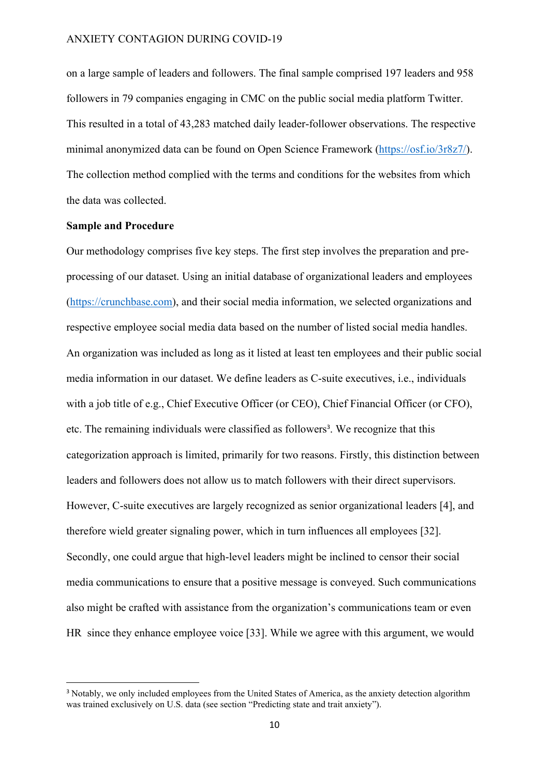on a large sample of leaders and followers. The final sample comprised 197 leaders and 958 followers in 79 companies engaging in CMC on the public social media platform Twitter. This resulted in a total of 43,283 matched daily leader-follower observations. The respective minimal anonymized data can be found on Open Science Framework (https://osf.io/3r8z7/). The collection method complied with the terms and conditions for the websites from which the data was collected.

# Sample and Procedure

Our methodology comprises five key steps. The first step involves the preparation and preprocessing of our dataset. Using an initial database of organizational leaders and employees (https://crunchbase.com), and their social media information, we selected organizations and respective employee social media data based on the number of listed social media handles. An organization was included as long as it listed at least ten employees and their public social media information in our dataset. We define leaders as C-suite executives, i.e., individuals with a job title of e.g., Chief Executive Officer (or CEO), Chief Financial Officer (or CFO), etc. The remaining individuals were classified as followers<sup>3</sup>. We recognize that this categorization approach is limited, primarily for two reasons. Firstly, this distinction between leaders and followers does not allow us to match followers with their direct supervisors. However, C-suite executives are largely recognized as senior organizational leaders [4], and therefore wield greater signaling power, which in turn influences all employees [32]. Secondly, one could argue that high-level leaders might be inclined to censor their social media communications to ensure that a positive message is conveyed. Such communications also might be crafted with assistance from the organization's communications team or even HR since they enhance employee voice [33]. While we agree with this argument, we would

<sup>&</sup>lt;sup>3</sup> Notably, we only included employees from the United States of America, as the anxiety detection algorithm was trained exclusively on U.S. data (see section "Predicting state and trait anxiety").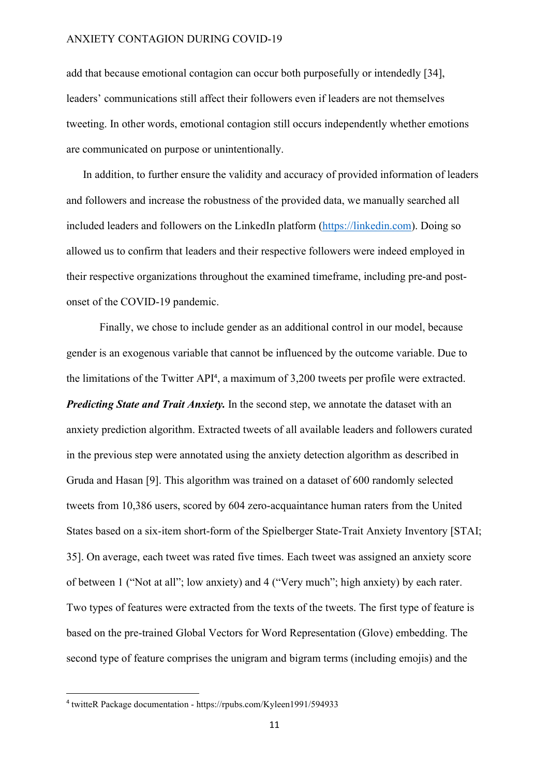add that because emotional contagion can occur both purposefully or intendedly [34], leaders' communications still affect their followers even if leaders are not themselves tweeting. In other words, emotional contagion still occurs independently whether emotions are communicated on purpose or unintentionally.

In addition, to further ensure the validity and accuracy of provided information of leaders and followers and increase the robustness of the provided data, we manually searched all included leaders and followers on the LinkedIn platform (https://linkedin.com). Doing so allowed us to confirm that leaders and their respective followers were indeed employed in their respective organizations throughout the examined timeframe, including pre-and postonset of the COVID-19 pandemic.

Finally, we chose to include gender as an additional control in our model, because gender is an exogenous variable that cannot be influenced by the outcome variable. Due to the limitations of the Twitter API<sup>4</sup>, a maximum of 3,200 tweets per profile were extracted. **Predicting State and Trait Anxiety.** In the second step, we annotate the dataset with an anxiety prediction algorithm. Extracted tweets of all available leaders and followers curated in the previous step were annotated using the anxiety detection algorithm as described in Gruda and Hasan [9]. This algorithm was trained on a dataset of 600 randomly selected tweets from 10,386 users, scored by 604 zero-acquaintance human raters from the United States based on a six-item short-form of the Spielberger State-Trait Anxiety Inventory [STAI; 35]. On average, each tweet was rated five times. Each tweet was assigned an anxiety score of between 1 ("Not at all"; low anxiety) and 4 ("Very much"; high anxiety) by each rater. Two types of features were extracted from the texts of the tweets. The first type of feature is based on the pre-trained Global Vectors for Word Representation (Glove) embedding. The second type of feature comprises the unigram and bigram terms (including emojis) and the

<sup>4</sup> twitteR Package documentation - https://rpubs.com/Kyleen1991/594933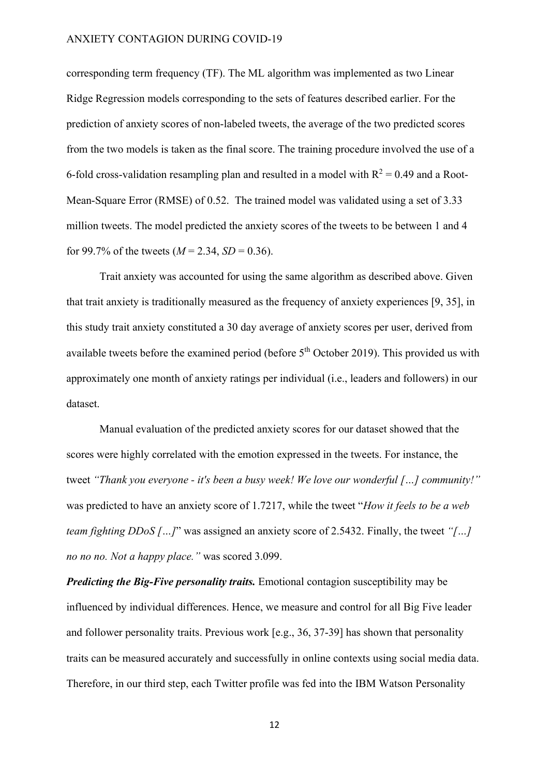corresponding term frequency (TF). The ML algorithm was implemented as two Linear Ridge Regression models corresponding to the sets of features described earlier. For the prediction of anxiety scores of non-labeled tweets, the average of the two predicted scores from the two models is taken as the final score. The training procedure involved the use of a 6-fold cross-validation resampling plan and resulted in a model with  $R^2 = 0.49$  and a Root-Mean-Square Error (RMSE) of 0.52. The trained model was validated using a set of 3.33 million tweets. The model predicted the anxiety scores of the tweets to be between 1 and 4 for 99.7% of the tweets  $(M = 2.34, SD = 0.36)$ .

Trait anxiety was accounted for using the same algorithm as described above. Given that trait anxiety is traditionally measured as the frequency of anxiety experiences [9, 35], in this study trait anxiety constituted a 30 day average of anxiety scores per user, derived from available tweets before the examined period (before  $5<sup>th</sup>$  October 2019). This provided us with approximately one month of anxiety ratings per individual (i.e., leaders and followers) in our dataset.

Manual evaluation of the predicted anxiety scores for our dataset showed that the scores were highly correlated with the emotion expressed in the tweets. For instance, the tweet "Thank you everyone - it's been a busy week! We love our wonderful [...] community!" was predicted to have an anxiety score of 1.7217, while the tweet "How it feels to be a web team fighting DDoS [...]" was assigned an anxiety score of 2.5432. Finally, the tweet "[...] no no no. Not a happy place." was scored 3.099.

**Predicting the Big-Five personality traits.** Emotional contagion susceptibility may be influenced by individual differences. Hence, we measure and control for all Big Five leader and follower personality traits. Previous work [e.g., 36, 37-39] has shown that personality traits can be measured accurately and successfully in online contexts using social media data. Therefore, in our third step, each Twitter profile was fed into the IBM Watson Personality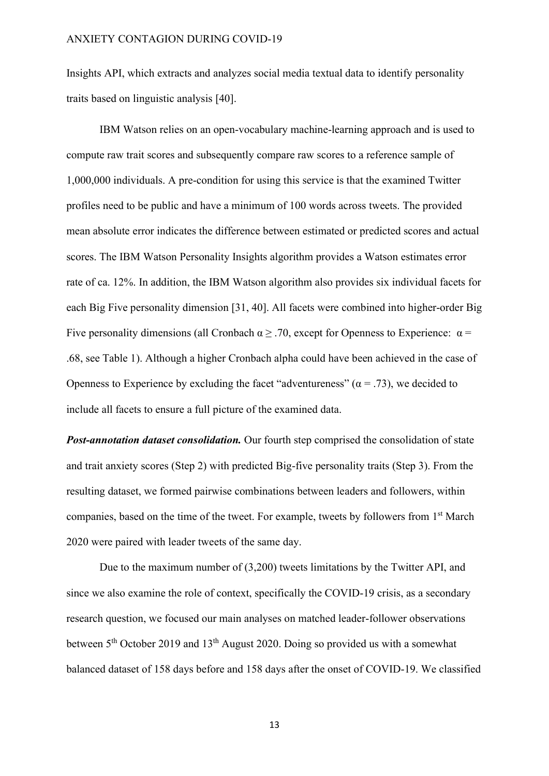Insights API, which extracts and analyzes social media textual data to identify personality traits based on linguistic analysis [40].

IBM Watson relies on an open-vocabulary machine-learning approach and is used to compute raw trait scores and subsequently compare raw scores to a reference sample of 1,000,000 individuals. A pre-condition for using this service is that the examined Twitter profiles need to be public and have a minimum of 100 words across tweets. The provided mean absolute error indicates the difference between estimated or predicted scores and actual scores. The IBM Watson Personality Insights algorithm provides a Watson estimates error rate of ca. 12%. In addition, the IBM Watson algorithm also provides six individual facets for each Big Five personality dimension [31, 40]. All facets were combined into higher-order Big Five personality dimensions (all Cronbach  $\alpha \geq 0.70$ , except for Openness to Experience:  $\alpha =$ .68, see Table 1). Although a higher Cronbach alpha could have been achieved in the case of Openness to Experience by excluding the facet "adventureness" ( $\alpha$  = .73), we decided to include all facets to ensure a full picture of the examined data.

**Post-annotation dataset consolidation.** Our fourth step comprised the consolidation of state and trait anxiety scores (Step 2) with predicted Big-five personality traits (Step 3). From the resulting dataset, we formed pairwise combinations between leaders and followers, within companies, based on the time of the tweet. For example, tweets by followers from  $1<sup>st</sup>$  March 2020 were paired with leader tweets of the same day.

Due to the maximum number of (3,200) tweets limitations by the Twitter API, and since we also examine the role of context, specifically the COVID-19 crisis, as a secondary research question, we focused our main analyses on matched leader-follower observations between  $5<sup>th</sup>$  October 2019 and 13<sup>th</sup> August 2020. Doing so provided us with a somewhat balanced dataset of 158 days before and 158 days after the onset of COVID-19. We classified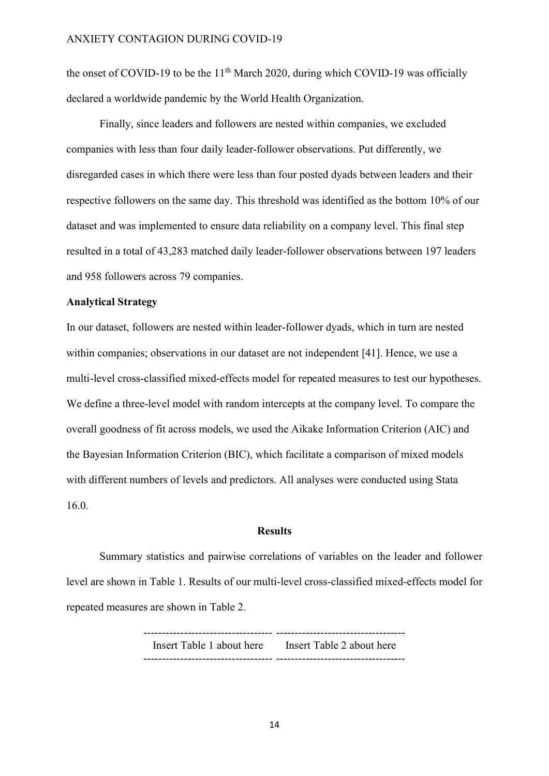the onset of COVID-19 to be the  $11<sup>th</sup>$  March 2020, during which COVID-19 was officially declared a worldwide pandemic by the World Health Organization.

Finally, since leaders and followers are nested within companies, we excluded companies with less than four daily leader-follower observations. Put differently, we disregarded cases in which there were less than four posted dyads between leaders and their respective followers on the same day. This threshold was identified as the bottom 10% of our dataset and was implemented to ensure data reliability on a company level. This final step resulted in a total of 43,283 matched daily leader-follower observations between 197 leaders and 958 followers across 79 companies.

## Analytical Strategy

In our dataset, followers are nested within leader-follower dyads, which in turn are nested within companies; observations in our dataset are not independent [41]. Hence, we use a multi-level cross-classified mixed-effects model for repeated measures to test our hypotheses. We define a three-level model with random intercepts at the company level. To compare the overall goodness of fit across models, we used the Aikake Information Criterion (AIC) and the Bayesian Information Criterion (BIC), which facilitate a comparison of mixed models with different numbers of levels and predictors. All analyses were conducted using Stata 16.0.

## Results

Summary statistics and pairwise correlations of variables on the leader and follower level are shown in Table 1. Results of our multi-level cross-classified mixed-effects model for repeated measures are shown in Table 2.

> ----------------------------------- ----------------------------------- Insert Table 1 about here Insert Table 2 about here ----------------------------------- -----------------------------------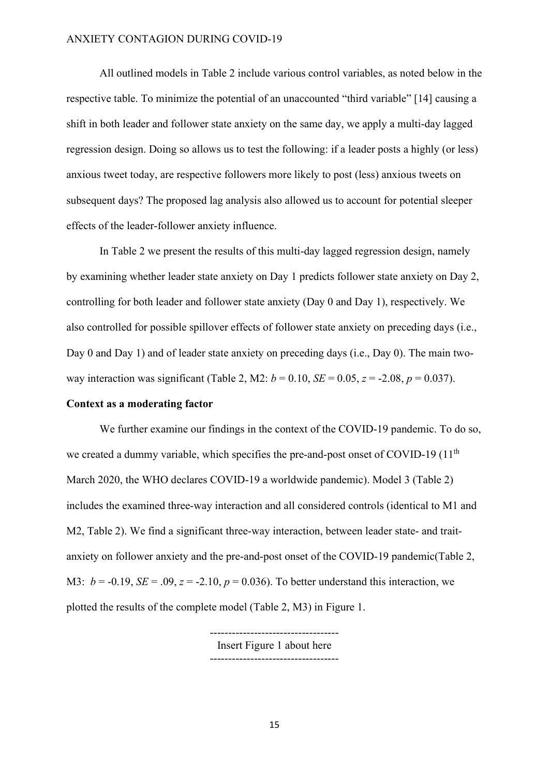All outlined models in Table 2 include various control variables, as noted below in the respective table. To minimize the potential of an unaccounted "third variable" [14] causing a shift in both leader and follower state anxiety on the same day, we apply a multi-day lagged regression design. Doing so allows us to test the following: if a leader posts a highly (or less) anxious tweet today, are respective followers more likely to post (less) anxious tweets on subsequent days? The proposed lag analysis also allowed us to account for potential sleeper effects of the leader-follower anxiety influence.

In Table 2 we present the results of this multi-day lagged regression design, namely by examining whether leader state anxiety on Day 1 predicts follower state anxiety on Day 2, controlling for both leader and follower state anxiety (Day 0 and Day 1), respectively. We also controlled for possible spillover effects of follower state anxiety on preceding days (i.e., Day 0 and Day 1) and of leader state anxiety on preceding days (i.e., Day 0). The main twoway interaction was significant (Table 2, M2:  $b = 0.10$ ,  $SE = 0.05$ ,  $z = -2.08$ ,  $p = 0.037$ ).

# Context as a moderating factor

We further examine our findings in the context of the COVID-19 pandemic. To do so, we created a dummy variable, which specifies the pre-and-post onset of COVID-19 (11<sup>th</sup> March 2020, the WHO declares COVID-19 a worldwide pandemic). Model 3 (Table 2) includes the examined three-way interaction and all considered controls (identical to M1 and M2, Table 2). We find a significant three-way interaction, between leader state- and traitanxiety on follower anxiety and the pre-and-post onset of the COVID-19 pandemic(Table 2, M3:  $b = -0.19$ ,  $SE = .09$ ,  $z = -2.10$ ,  $p = 0.036$ ). To better understand this interaction, we plotted the results of the complete model (Table 2, M3) in Figure 1.

> ----------------------------------- Insert Figure 1 about here -----------------------------------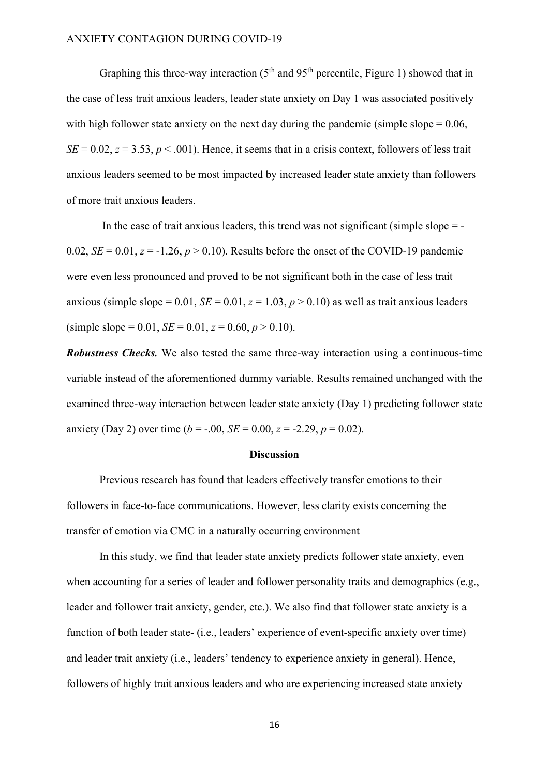Graphing this three-way interaction  $(5<sup>th</sup>$  and  $95<sup>th</sup>$  percentile, Figure 1) showed that in the case of less trait anxious leaders, leader state anxiety on Day 1 was associated positively with high follower state anxiety on the next day during the pandemic (simple slope  $= 0.06$ ,  $SE = 0.02$ ,  $z = 3.53$ ,  $p < .001$ ). Hence, it seems that in a crisis context, followers of less trait anxious leaders seemed to be most impacted by increased leader state anxiety than followers of more trait anxious leaders.

In the case of trait anxious leaders, this trend was not significant (simple slope  $=$   $-$ 0.02,  $SE = 0.01$ ,  $z = -1.26$ ,  $p > 0.10$ ). Results before the onset of the COVID-19 pandemic were even less pronounced and proved to be not significant both in the case of less trait anxious (simple slope = 0.01,  $SE = 0.01$ ,  $z = 1.03$ ,  $p > 0.10$ ) as well as trait anxious leaders (simple slope = 0.01,  $SE = 0.01$ ,  $z = 0.60$ ,  $p > 0.10$ ).

Robustness Checks. We also tested the same three-way interaction using a continuous-time variable instead of the aforementioned dummy variable. Results remained unchanged with the examined three-way interaction between leader state anxiety (Day 1) predicting follower state anxiety (Day 2) over time ( $b = -0.00$ ,  $SE = 0.00$ ,  $z = -2.29$ ,  $p = 0.02$ ).

#### **Discussion**

Previous research has found that leaders effectively transfer emotions to their followers in face-to-face communications. However, less clarity exists concerning the transfer of emotion via CMC in a naturally occurring environment

In this study, we find that leader state anxiety predicts follower state anxiety, even when accounting for a series of leader and follower personality traits and demographics (e.g., leader and follower trait anxiety, gender, etc.). We also find that follower state anxiety is a function of both leader state- (i.e., leaders' experience of event-specific anxiety over time) and leader trait anxiety (i.e., leaders' tendency to experience anxiety in general). Hence, followers of highly trait anxious leaders and who are experiencing increased state anxiety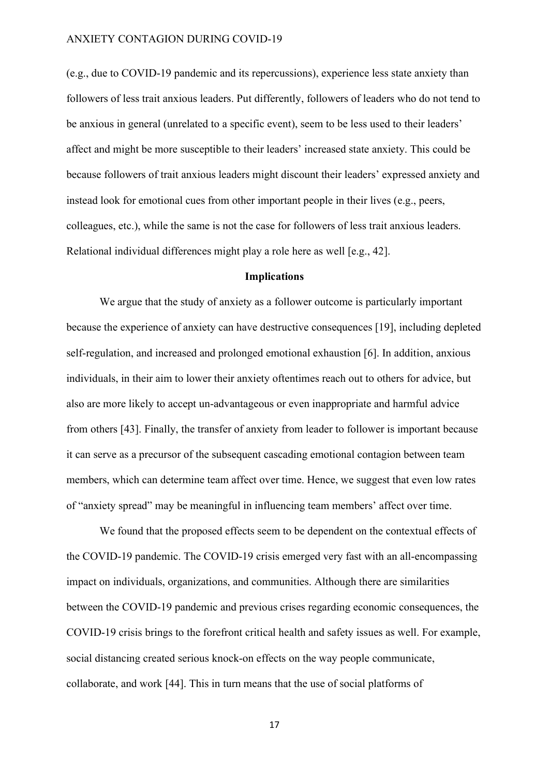(e.g., due to COVID-19 pandemic and its repercussions), experience less state anxiety than followers of less trait anxious leaders. Put differently, followers of leaders who do not tend to be anxious in general (unrelated to a specific event), seem to be less used to their leaders' affect and might be more susceptible to their leaders' increased state anxiety. This could be because followers of trait anxious leaders might discount their leaders' expressed anxiety and instead look for emotional cues from other important people in their lives (e.g., peers, colleagues, etc.), while the same is not the case for followers of less trait anxious leaders. Relational individual differences might play a role here as well [e.g., 42].

#### Implications

We argue that the study of anxiety as a follower outcome is particularly important because the experience of anxiety can have destructive consequences [19], including depleted self-regulation, and increased and prolonged emotional exhaustion [6]. In addition, anxious individuals, in their aim to lower their anxiety oftentimes reach out to others for advice, but also are more likely to accept un-advantageous or even inappropriate and harmful advice from others [43]. Finally, the transfer of anxiety from leader to follower is important because it can serve as a precursor of the subsequent cascading emotional contagion between team members, which can determine team affect over time. Hence, we suggest that even low rates of "anxiety spread" may be meaningful in influencing team members' affect over time.

We found that the proposed effects seem to be dependent on the contextual effects of the COVID-19 pandemic. The COVID-19 crisis emerged very fast with an all-encompassing impact on individuals, organizations, and communities. Although there are similarities between the COVID-19 pandemic and previous crises regarding economic consequences, the COVID-19 crisis brings to the forefront critical health and safety issues as well. For example, social distancing created serious knock-on effects on the way people communicate, collaborate, and work [44]. This in turn means that the use of social platforms of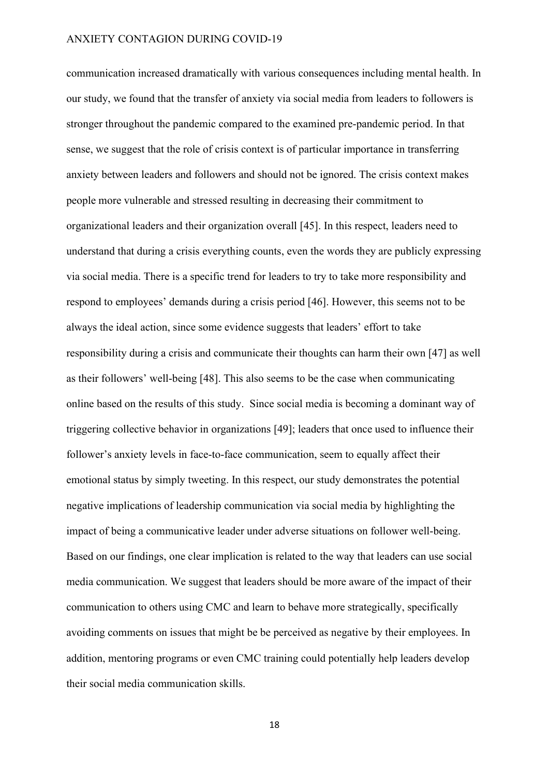communication increased dramatically with various consequences including mental health. In our study, we found that the transfer of anxiety via social media from leaders to followers is stronger throughout the pandemic compared to the examined pre-pandemic period. In that sense, we suggest that the role of crisis context is of particular importance in transferring anxiety between leaders and followers and should not be ignored. The crisis context makes people more vulnerable and stressed resulting in decreasing their commitment to organizational leaders and their organization overall [45]. In this respect, leaders need to understand that during a crisis everything counts, even the words they are publicly expressing via social media. There is a specific trend for leaders to try to take more responsibility and respond to employees' demands during a crisis period [46]. However, this seems not to be always the ideal action, since some evidence suggests that leaders' effort to take responsibility during a crisis and communicate their thoughts can harm their own [47] as well as their followers' well-being [48]. This also seems to be the case when communicating online based on the results of this study. Since social media is becoming a dominant way of triggering collective behavior in organizations [49]; leaders that once used to influence their follower's anxiety levels in face-to-face communication, seem to equally affect their emotional status by simply tweeting. In this respect, our study demonstrates the potential negative implications of leadership communication via social media by highlighting the impact of being a communicative leader under adverse situations on follower well-being. Based on our findings, one clear implication is related to the way that leaders can use social media communication. We suggest that leaders should be more aware of the impact of their communication to others using CMC and learn to behave more strategically, specifically avoiding comments on issues that might be be perceived as negative by their employees. In addition, mentoring programs or even CMC training could potentially help leaders develop their social media communication skills.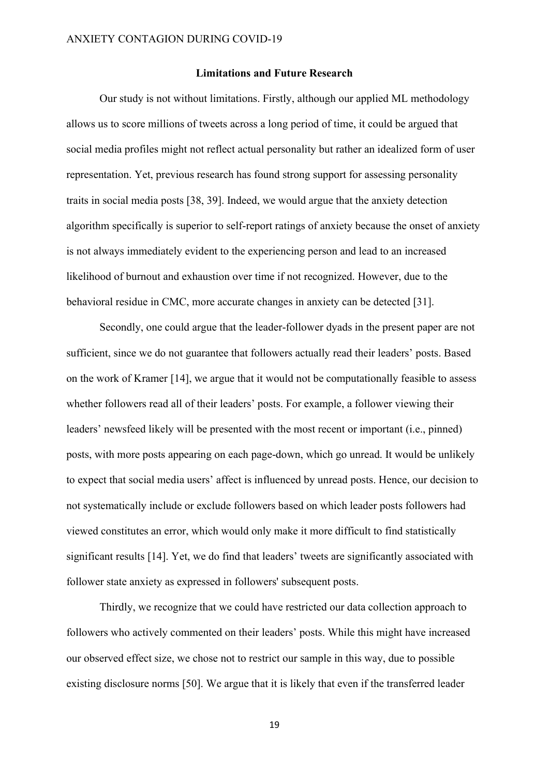#### Limitations and Future Research

Our study is not without limitations. Firstly, although our applied ML methodology allows us to score millions of tweets across a long period of time, it could be argued that social media profiles might not reflect actual personality but rather an idealized form of user representation. Yet, previous research has found strong support for assessing personality traits in social media posts [38, 39]. Indeed, we would argue that the anxiety detection algorithm specifically is superior to self-report ratings of anxiety because the onset of anxiety is not always immediately evident to the experiencing person and lead to an increased likelihood of burnout and exhaustion over time if not recognized. However, due to the behavioral residue in CMC, more accurate changes in anxiety can be detected [31].

Secondly, one could argue that the leader-follower dyads in the present paper are not sufficient, since we do not guarantee that followers actually read their leaders' posts. Based on the work of Kramer [14], we argue that it would not be computationally feasible to assess whether followers read all of their leaders' posts. For example, a follower viewing their leaders' newsfeed likely will be presented with the most recent or important (i.e., pinned) posts, with more posts appearing on each page-down, which go unread. It would be unlikely to expect that social media users' affect is influenced by unread posts. Hence, our decision to not systematically include or exclude followers based on which leader posts followers had viewed constitutes an error, which would only make it more difficult to find statistically significant results [14]. Yet, we do find that leaders' tweets are significantly associated with follower state anxiety as expressed in followers' subsequent posts.

Thirdly, we recognize that we could have restricted our data collection approach to followers who actively commented on their leaders' posts. While this might have increased our observed effect size, we chose not to restrict our sample in this way, due to possible existing disclosure norms [50]. We argue that it is likely that even if the transferred leader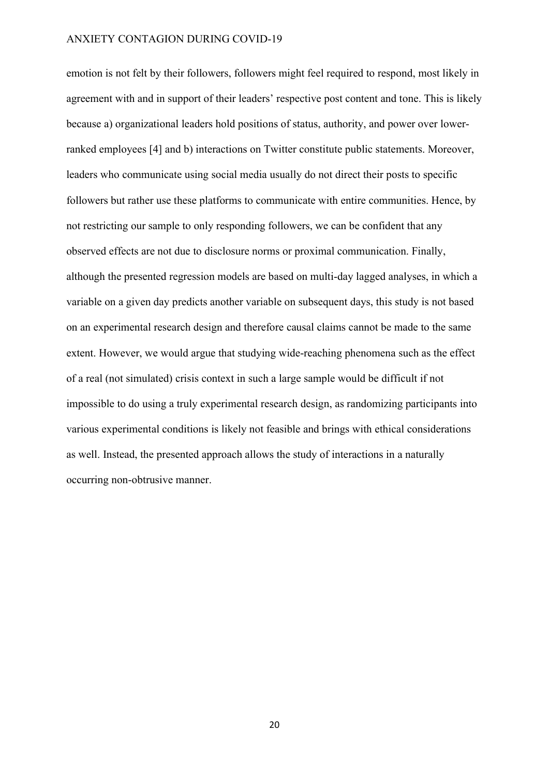emotion is not felt by their followers, followers might feel required to respond, most likely in agreement with and in support of their leaders' respective post content and tone. This is likely because a) organizational leaders hold positions of status, authority, and power over lowerranked employees [4] and b) interactions on Twitter constitute public statements. Moreover, leaders who communicate using social media usually do not direct their posts to specific followers but rather use these platforms to communicate with entire communities. Hence, by not restricting our sample to only responding followers, we can be confident that any observed effects are not due to disclosure norms or proximal communication. Finally, although the presented regression models are based on multi-day lagged analyses, in which a variable on a given day predicts another variable on subsequent days, this study is not based on an experimental research design and therefore causal claims cannot be made to the same extent. However, we would argue that studying wide-reaching phenomena such as the effect of a real (not simulated) crisis context in such a large sample would be difficult if not impossible to do using a truly experimental research design, as randomizing participants into various experimental conditions is likely not feasible and brings with ethical considerations as well. Instead, the presented approach allows the study of interactions in a naturally occurring non-obtrusive manner.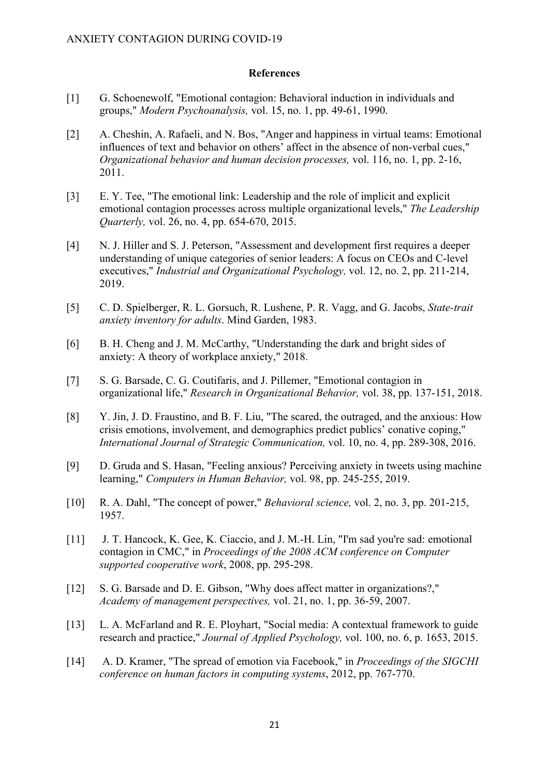#### **References**

- [1] G. Schoenewolf, "Emotional contagion: Behavioral induction in individuals and groups," Modern Psychoanalysis, vol. 15, no. 1, pp. 49-61, 1990.
- [2] A. Cheshin, A. Rafaeli, and N. Bos, "Anger and happiness in virtual teams: Emotional influences of text and behavior on others' affect in the absence of non-verbal cues," Organizational behavior and human decision processes, vol. 116, no. 1, pp. 2-16, 2011.
- [3] E. Y. Tee, "The emotional link: Leadership and the role of implicit and explicit emotional contagion processes across multiple organizational levels," The Leadership Quarterly, vol. 26, no. 4, pp. 654-670, 2015.
- [4] N. J. Hiller and S. J. Peterson, "Assessment and development first requires a deeper understanding of unique categories of senior leaders: A focus on CEOs and C-level executives," Industrial and Organizational Psychology, vol. 12, no. 2, pp. 211-214, 2019.
- [5] C. D. Spielberger, R. L. Gorsuch, R. Lushene, P. R. Vagg, and G. Jacobs, State-trait anxiety inventory for adults. Mind Garden, 1983.
- [6] B. H. Cheng and J. M. McCarthy, "Understanding the dark and bright sides of anxiety: A theory of workplace anxiety," 2018.
- [7] S. G. Barsade, C. G. Coutifaris, and J. Pillemer, "Emotional contagion in organizational life," Research in Organizational Behavior, vol. 38, pp. 137-151, 2018.
- [8] Y. Jin, J. D. Fraustino, and B. F. Liu, "The scared, the outraged, and the anxious: How crisis emotions, involvement, and demographics predict publics' conative coping," International Journal of Strategic Communication, vol. 10, no. 4, pp. 289-308, 2016.
- [9] D. Gruda and S. Hasan, "Feeling anxious? Perceiving anxiety in tweets using machine learning," Computers in Human Behavior, vol. 98, pp. 245-255, 2019.
- [10] R. A. Dahl, "The concept of power," *Behavioral science*, vol. 2, no. 3, pp. 201-215, 1957.
- [11] J. T. Hancock, K. Gee, K. Ciaccio, and J. M.-H. Lin, "I'm sad you're sad: emotional contagion in CMC," in Proceedings of the 2008 ACM conference on Computer supported cooperative work, 2008, pp. 295-298.
- [12] S. G. Barsade and D. E. Gibson, "Why does affect matter in organizations?," Academy of management perspectives, vol. 21, no. 1, pp. 36-59, 2007.
- [13] L. A. McFarland and R. E. Ployhart, "Social media: A contextual framework to guide research and practice," Journal of Applied Psychology, vol. 100, no. 6, p. 1653, 2015.
- [14] A. D. Kramer, "The spread of emotion via Facebook," in *Proceedings of the SIGCHI* conference on human factors in computing systems, 2012, pp. 767-770.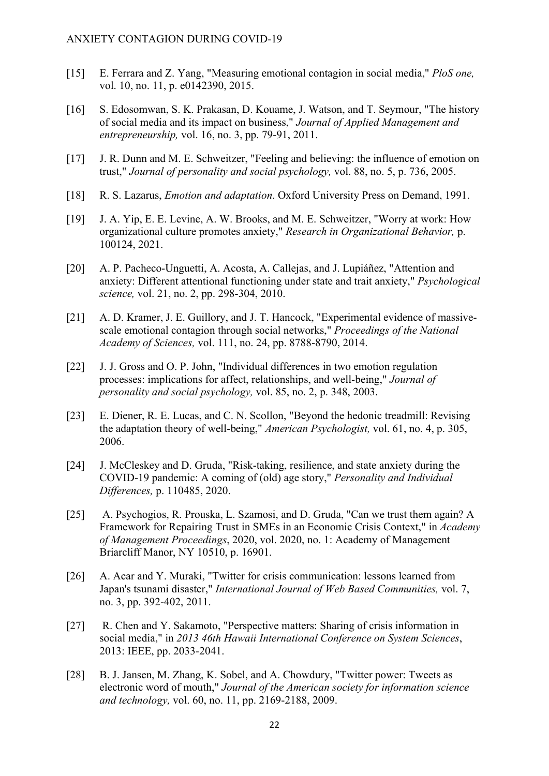- [15] E. Ferrara and Z. Yang, "Measuring emotional contagion in social media," PloS one, vol. 10, no. 11, p. e0142390, 2015.
- [16] S. Edosomwan, S. K. Prakasan, D. Kouame, J. Watson, and T. Seymour, "The history of social media and its impact on business," Journal of Applied Management and entrepreneurship, vol. 16, no. 3, pp. 79-91, 2011.
- [17] J. R. Dunn and M. E. Schweitzer, "Feeling and believing: the influence of emotion on trust," Journal of personality and social psychology, vol. 88, no. 5, p. 736, 2005.
- [18] R. S. Lazarus, *Emotion and adaptation*. Oxford University Press on Demand, 1991.
- [19] J. A. Yip, E. E. Levine, A. W. Brooks, and M. E. Schweitzer, "Worry at work: How organizational culture promotes anxiety," Research in Organizational Behavior, p. 100124, 2021.
- [20] A. P. Pacheco-Unguetti, A. Acosta, A. Callejas, and J. Lupiáñez, "Attention and anxiety: Different attentional functioning under state and trait anxiety," Psychological science, vol. 21, no. 2, pp. 298-304, 2010.
- [21] A. D. Kramer, J. E. Guillory, and J. T. Hancock, "Experimental evidence of massivescale emotional contagion through social networks," Proceedings of the National Academy of Sciences, vol. 111, no. 24, pp. 8788-8790, 2014.
- [22] J. J. Gross and O. P. John, "Individual differences in two emotion regulation processes: implications for affect, relationships, and well-being," Journal of personality and social psychology, vol. 85, no. 2, p. 348, 2003.
- [23] E. Diener, R. E. Lucas, and C. N. Scollon, "Beyond the hedonic treadmill: Revising the adaptation theory of well-being," American Psychologist, vol. 61, no. 4, p. 305, 2006.
- [24] J. McCleskey and D. Gruda, "Risk-taking, resilience, and state anxiety during the COVID-19 pandemic: A coming of (old) age story," Personality and Individual Differences, p. 110485, 2020.
- [25] A. Psychogios, R. Prouska, L. Szamosi, and D. Gruda, "Can we trust them again? A Framework for Repairing Trust in SMEs in an Economic Crisis Context," in Academy of Management Proceedings, 2020, vol. 2020, no. 1: Academy of Management Briarcliff Manor, NY 10510, p. 16901.
- [26] A. Acar and Y. Muraki, "Twitter for crisis communication: lessons learned from Japan's tsunami disaster," International Journal of Web Based Communities, vol. 7, no. 3, pp. 392-402, 2011.
- [27] R. Chen and Y. Sakamoto, "Perspective matters: Sharing of crisis information in social media," in 2013 46th Hawaii International Conference on System Sciences, 2013: IEEE, pp. 2033-2041.
- [28] B. J. Jansen, M. Zhang, K. Sobel, and A. Chowdury, "Twitter power: Tweets as electronic word of mouth," Journal of the American society for information science and technology, vol. 60, no. 11, pp. 2169-2188, 2009.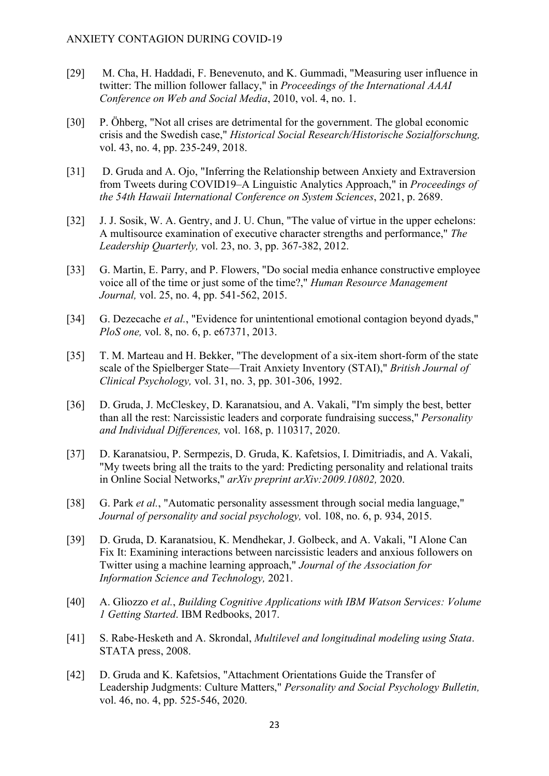- [29] M. Cha, H. Haddadi, F. Benevenuto, and K. Gummadi, "Measuring user influence in twitter: The million follower fallacy," in Proceedings of the International AAAI Conference on Web and Social Media, 2010, vol. 4, no. 1.
- [30] P. Öhberg, "Not all crises are detrimental for the government. The global economic crisis and the Swedish case," Historical Social Research/Historische Sozialforschung, vol. 43, no. 4, pp. 235-249, 2018.
- [31] D. Gruda and A. Ojo, "Inferring the Relationship between Anxiety and Extraversion from Tweets during COVID19–A Linguistic Analytics Approach," in Proceedings of the 54th Hawaii International Conference on System Sciences, 2021, p. 2689.
- [32] J. J. Sosik, W. A. Gentry, and J. U. Chun, "The value of virtue in the upper echelons: A multisource examination of executive character strengths and performance," The Leadership Quarterly, vol. 23, no. 3, pp. 367-382, 2012.
- [33] G. Martin, E. Parry, and P. Flowers, "Do social media enhance constructive employee voice all of the time or just some of the time?," Human Resource Management Journal, vol. 25, no. 4, pp. 541-562, 2015.
- [34] G. Dezecache et al., "Evidence for unintentional emotional contagion beyond dyads," PloS one, vol. 8, no. 6, p. e67371, 2013.
- [35] T. M. Marteau and H. Bekker, "The development of a six-item short-form of the state scale of the Spielberger State—Trait Anxiety Inventory (STAI)," British Journal of Clinical Psychology, vol. 31, no. 3, pp. 301-306, 1992.
- [36] D. Gruda, J. McCleskey, D. Karanatsiou, and A. Vakali, "I'm simply the best, better than all the rest: Narcissistic leaders and corporate fundraising success," Personality and Individual Differences, vol. 168, p. 110317, 2020.
- [37] D. Karanatsiou, P. Sermpezis, D. Gruda, K. Kafetsios, I. Dimitriadis, and A. Vakali, "My tweets bring all the traits to the yard: Predicting personality and relational traits in Online Social Networks," arXiv preprint arXiv:2009.10802, 2020.
- [38] G. Park et al., "Automatic personality assessment through social media language," Journal of personality and social psychology, vol. 108, no. 6, p. 934, 2015.
- [39] D. Gruda, D. Karanatsiou, K. Mendhekar, J. Golbeck, and A. Vakali, "I Alone Can Fix It: Examining interactions between narcissistic leaders and anxious followers on Twitter using a machine learning approach," Journal of the Association for Information Science and Technology, 2021.
- [40] A. Gliozzo et al., Building Cognitive Applications with IBM Watson Services: Volume 1 Getting Started. IBM Redbooks, 2017.
- [41] S. Rabe-Hesketh and A. Skrondal, *Multilevel and longitudinal modeling using Stata*. STATA press, 2008.
- [42] D. Gruda and K. Kafetsios, "Attachment Orientations Guide the Transfer of Leadership Judgments: Culture Matters," Personality and Social Psychology Bulletin, vol. 46, no. 4, pp. 525-546, 2020.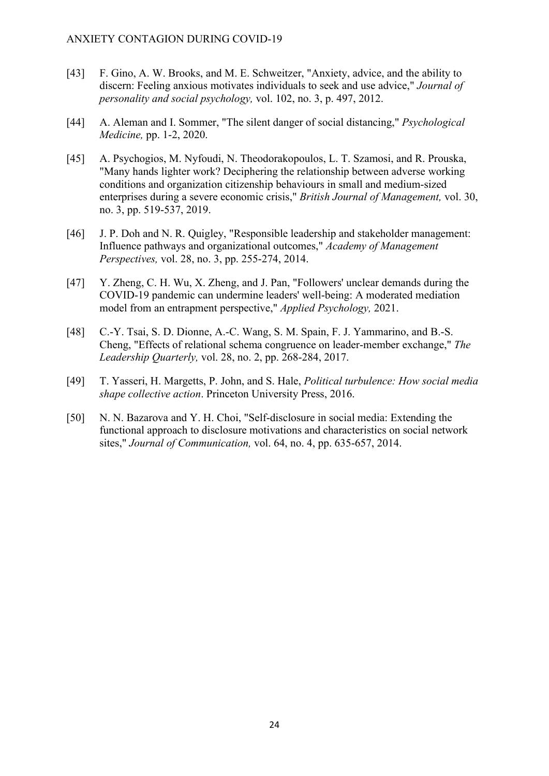- [43] F. Gino, A. W. Brooks, and M. E. Schweitzer, "Anxiety, advice, and the ability to discern: Feeling anxious motivates individuals to seek and use advice," Journal of personality and social psychology, vol. 102, no. 3, p. 497, 2012.
- [44] A. Aleman and I. Sommer, "The silent danger of social distancing," *Psychological* Medicine, pp. 1-2, 2020.
- [45] A. Psychogios, M. Nyfoudi, N. Theodorakopoulos, L. T. Szamosi, and R. Prouska, "Many hands lighter work? Deciphering the relationship between adverse working conditions and organization citizenship behaviours in small and medium‐sized enterprises during a severe economic crisis," British Journal of Management, vol. 30, no. 3, pp. 519-537, 2019.
- [46] J. P. Doh and N. R. Quigley, "Responsible leadership and stakeholder management: Influence pathways and organizational outcomes," Academy of Management Perspectives, vol. 28, no. 3, pp. 255-274, 2014.
- [47] Y. Zheng, C. H. Wu, X. Zheng, and J. Pan, "Followers' unclear demands during the COVID‐19 pandemic can undermine leaders' well‐being: A moderated mediation model from an entrapment perspective," Applied Psychology, 2021.
- [48] C.-Y. Tsai, S. D. Dionne, A.-C. Wang, S. M. Spain, F. J. Yammarino, and B.-S. Cheng, "Effects of relational schema congruence on leader-member exchange," The Leadership Quarterly, vol. 28, no. 2, pp. 268-284, 2017.
- [49] T. Yasseri, H. Margetts, P. John, and S. Hale, *Political turbulence: How social media* shape collective action. Princeton University Press, 2016.
- [50] N. N. Bazarova and Y. H. Choi, "Self-disclosure in social media: Extending the functional approach to disclosure motivations and characteristics on social network sites," Journal of Communication, vol. 64, no. 4, pp. 635-657, 2014.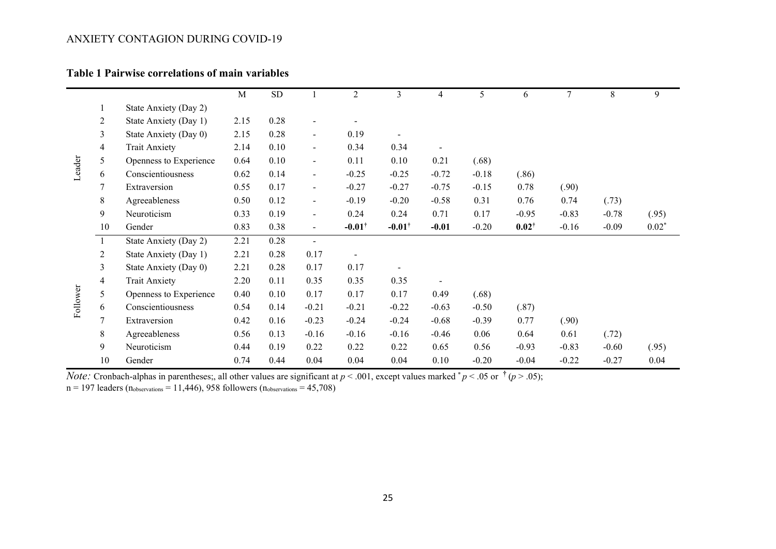# Table 1 Pairwise correlations of main variables

|          |                |                        | $\mathbf M$ | ${\rm SD}$ |                          | $\overline{2}$    | 3                 | 4                        | 5       | 6                | $\tau$  | 8       | 9       |
|----------|----------------|------------------------|-------------|------------|--------------------------|-------------------|-------------------|--------------------------|---------|------------------|---------|---------|---------|
| Leader   | 1              | State Anxiety (Day 2)  |             |            |                          |                   |                   |                          |         |                  |         |         |         |
|          | 2              | State Anxiety (Day 1)  | 2.15        | 0.28       | $\overline{\phantom{a}}$ |                   |                   |                          |         |                  |         |         |         |
|          | 3              | State Anxiety (Day 0)  | 2.15        | 0.28       | $\blacksquare$           | 0.19              | $\blacksquare$    |                          |         |                  |         |         |         |
|          | 4              | <b>Trait Anxiety</b>   | 2.14        | 0.10       | $\blacksquare$           | 0.34              | 0.34              |                          |         |                  |         |         |         |
|          | 5              | Openness to Experience | 0.64        | 0.10       | $\blacksquare$           | 0.11              | 0.10              | 0.21                     | (.68)   |                  |         |         |         |
|          | 6              | Conscientiousness      | 0.62        | 0.14       | $\blacksquare$           | $-0.25$           | $-0.25$           | $-0.72$                  | $-0.18$ | (.86)            |         |         |         |
|          | 7              | Extraversion           | 0.55        | 0.17       | $\blacksquare$           | $-0.27$           | $-0.27$           | $-0.75$                  | $-0.15$ | 0.78             | (.90)   |         |         |
|          | 8              | Agreeableness          | 0.50        | 0.12       | $\blacksquare$           | $-0.19$           | $-0.20$           | $-0.58$                  | 0.31    | 0.76             | 0.74    | (.73)   |         |
|          | 9              | Neuroticism            | 0.33        | 0.19       | $\blacksquare$           | 0.24              | 0.24              | 0.71                     | 0.17    | $-0.95$          | $-0.83$ | $-0.78$ | (.95)   |
|          | 10             | Gender                 | 0.83        | 0.38       | $\blacksquare$           | $-0.01^{\dagger}$ | $-0.01^{\dagger}$ | $-0.01$                  | $-0.20$ | $0.02^{\dagger}$ | $-0.16$ | $-0.09$ | $0.02*$ |
|          | -1             | State Anxiety (Day 2)  | 2.21        | 0.28       | $\blacksquare$           |                   |                   |                          |         |                  |         |         |         |
|          | $\overline{2}$ | State Anxiety (Day 1)  | 2.21        | 0.28       | 0.17                     |                   |                   |                          |         |                  |         |         |         |
|          | 3              | State Anxiety (Day 0)  | 2.21        | 0.28       | 0.17                     | 0.17              |                   |                          |         |                  |         |         |         |
| Follower | 4              | <b>Trait Anxiety</b>   | 2.20        | 0.11       | 0.35                     | 0.35              | 0.35              | $\overline{\phantom{a}}$ |         |                  |         |         |         |
|          | 5              | Openness to Experience | 0.40        | 0.10       | 0.17                     | 0.17              | 0.17              | 0.49                     | (.68)   |                  |         |         |         |
|          | 6              | Conscientiousness      | 0.54        | 0.14       | $-0.21$                  | $-0.21$           | $-0.22$           | $-0.63$                  | $-0.50$ | (.87)            |         |         |         |
|          | 7              | Extraversion           | 0.42        | 0.16       | $-0.23$                  | $-0.24$           | $-0.24$           | $-0.68$                  | $-0.39$ | 0.77             | (.90)   |         |         |
|          | 8              | Agreeableness          | 0.56        | 0.13       | $-0.16$                  | $-0.16$           | $-0.16$           | $-0.46$                  | 0.06    | 0.64             | 0.61    | (.72)   |         |
|          | 9              | Neuroticism            | 0.44        | 0.19       | 0.22                     | 0.22              | 0.22              | 0.65                     | 0.56    | $-0.93$          | $-0.83$ | $-0.60$ | (.95)   |
|          | 10             | Gender                 | 0.74        | 0.44       | 0.04                     | 0.04              | 0.04              | 0.10                     | $-0.20$ | $-0.04$          | $-0.22$ | $-0.27$ | 0.04    |

*Note:* Cronbach-alphas in parentheses;, all other values are significant at  $p < .001$ , except values marked  $^*p < .05$  or  $^{\dagger}$  ( $p > .05$ );

 $n = 197$  leaders ( $n_{\text{observations}} = 11,446$ ), 958 followers ( $n_{\text{observations}} = 45,708$ )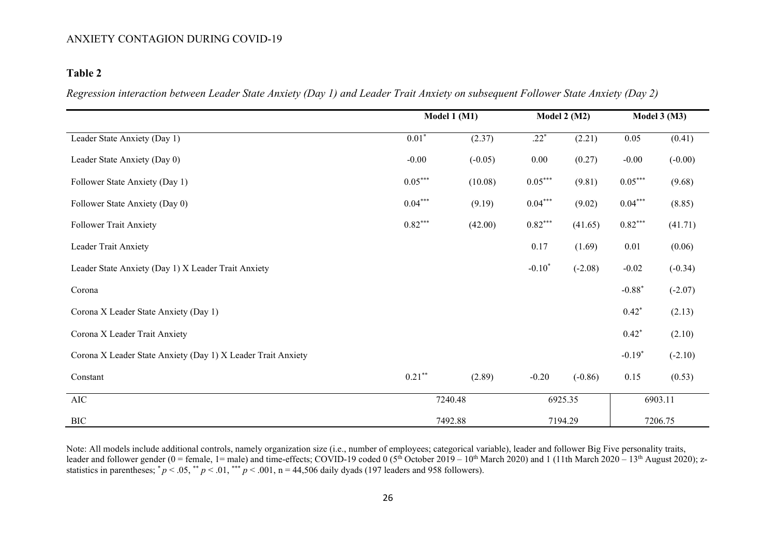# Table 2

Regression interaction between Leader State Anxiety (Day 1) and Leader Trait Anxiety on subsequent Follower State Anxiety (Day 2)

|                                                              | Model 1 (M1) |           | Model $2(M2)$ |           | Model $3(M3)$ |           |
|--------------------------------------------------------------|--------------|-----------|---------------|-----------|---------------|-----------|
| Leader State Anxiety (Day 1)                                 | $0.01*$      | (2.37)    | $.22*$        | (2.21)    | 0.05          | (0.41)    |
| Leader State Anxiety (Day 0)                                 | $-0.00$      | $(-0.05)$ | $0.00\,$      | (0.27)    | $-0.00$       | $(-0.00)$ |
| Follower State Anxiety (Day 1)                               | $0.05***$    | (10.08)   | $0.05***$     | (9.81)    | $0.05***$     | (9.68)    |
| Follower State Anxiety (Day 0)                               | $0.04***$    | (9.19)    | $0.04***$     | (9.02)    | $0.04***$     | (8.85)    |
| <b>Follower Trait Anxiety</b>                                | $0.82***$    | (42.00)   | $0.82***$     | (41.65)   | $0.82***$     | (41.71)   |
| Leader Trait Anxiety                                         |              |           | 0.17          | (1.69)    | $0.01\,$      | (0.06)    |
| Leader State Anxiety (Day 1) X Leader Trait Anxiety          |              |           | $-0.10*$      | $(-2.08)$ | $-0.02$       | $(-0.34)$ |
| Corona                                                       |              |           |               |           | $-0.88*$      | $(-2.07)$ |
| Corona X Leader State Anxiety (Day 1)                        |              |           |               |           | $0.42*$       | (2.13)    |
| Corona X Leader Trait Anxiety                                |              |           |               |           | $0.42*$       | (2.10)    |
| Corona X Leader State Anxiety (Day 1) X Leader Trait Anxiety |              |           |               |           | $-0.19*$      | $(-2.10)$ |
| Constant                                                     | $0.21***$    | (2.89)    | $-0.20$       | $(-0.86)$ | 0.15          | (0.53)    |
| AIC                                                          | 7240.48      | 6925.35   |               | 6903.11   |               |           |
| <b>BIC</b>                                                   | 7492.88      |           | 7194.29       | 7206.75   |               |           |

Note: All models include additional controls, namely organization size (i.e., number of employees; categorical variable), leader and follower Big Five personality traits, leader and follower gender (0 = female, 1= male) and time-effects; COVID-19 coded 0 (5<sup>th</sup> October 2019 – 10<sup>th</sup> March 2020) and 1 (11th March 2020 – 13<sup>th</sup> August 2020); zstatistics in parentheses;  $p < .05$ ,  $p < .01$ ,  $p < .001$ , n = 44,506 daily dyads (197 leaders and 958 followers).